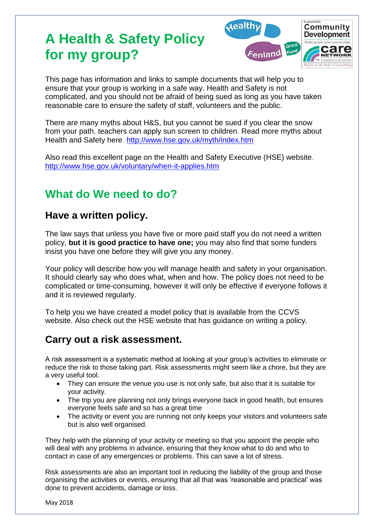# **A Health & Safety Policy for my group?**



This page has information and links to sample documents that will help you to ensure that your group is working in a safe way. Health and Safety is not complicated, and you should not be afraid of being sued as long as you have taken reasonable care to ensure the safety of staff, volunteers and the public.

There are many myths about H&S, but you cannot be sued if you clear the snow from your path, teachers can apply sun screen to children. Read more myths about Health and Safety here.<http://www.hse.gov.uk/myth/index.htm>

Also read this excellent page on the Health and Safety Executive (HSE) website. <http://www.hse.gov.uk/voluntary/when-it-applies.htm>

# **What do We need to do?**

## **Have a written policy.**

The law says that unless you have five or more paid staff you do not need a written policy, **but it is good practice to have one;** you may also find that some funders insist you have one before they will give you any money.

Your policy will describe how you will manage health and safety in your organisation. It should clearly say who does what, when and how. The policy does not need to be complicated or time-consuming, however it will only be effective if everyone follows it and it is reviewed regularly.

To help you we have created a model policy that is available from the CCVS website. Also check out the HSE website that has guidance on writing a policy.

# **Carry out a risk assessment.**

A risk assessment is a systematic method at looking at your group's activities to eliminate or reduce the risk to those taking part. Risk assessments might seem like a chore, but they are a very useful tool.

- They can ensure the venue you use is not only safe, but also that it is suitable for your activity.
- The trip you are planning not only brings everyone back in good health, but ensures everyone feels safe and so has a great time
- The activity or event you are running not only keeps your visitors and volunteers safe but is also well organised.

They help with the planning of your activity or meeting so that you appoint the people who will deal with any problems in advance, ensuring that they know what to do and who to contact in case of any emergencies or problems. This can save a lot of stress.

Risk assessments are also an important tool in reducing the liability of the group and those organising the activities or events, ensuring that all that was 'reasonable and practical' was done to prevent accidents, damage or loss.

May 2018